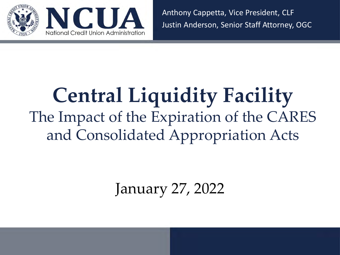

Anthony Cappetta, Vice President, CLF Justin Anderson, Senior Staff Attorney, OGC

# **Central Liquidity Facility** The Impact of the Expiration of the CARES and Consolidated Appropriation Acts

January 27, 2022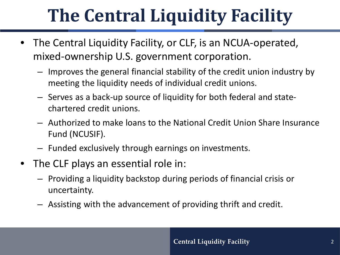# **The Central Liquidity Facility**

- The Central Liquidity Facility, or CLF, is an NCUA-operated, mixed-ownership U.S. government corporation.
	- Improves the general financial stability of the credit union industry by meeting the liquidity needs of individual credit unions.
	- Serves as a back-up source of liquidity for both federal and statechartered credit unions.
	- Authorized to make loans to the National Credit Union Share Insurance Fund (NCUSIF).
	- Funded exclusively through earnings on investments.
- The CLF plays an essential role in:
	- Providing a liquidity backstop during periods of financial crisis or uncertainty.
	- Assisting with the advancement of providing thrift and credit.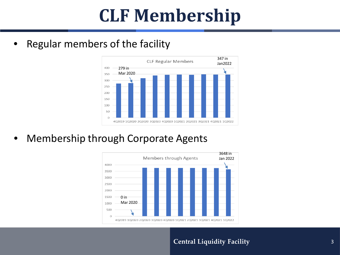## **CLF Membership**

Regular members of the facility



• Membership through Corporate Agents



#### **Central Liquidity Facility** 3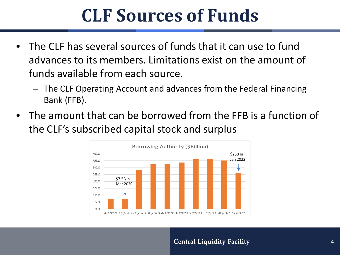## **CLF Sources of Funds**

- The CLF has several sources of funds that it can use to fund advances to its members. Limitations exist on the amount of funds available from each source.
	- The CLF Operating Account and advances from the Federal Financing Bank (FFB).
- The amount that can be borrowed from the FFB is a function of the CLF's subscribed capital stock and surplus

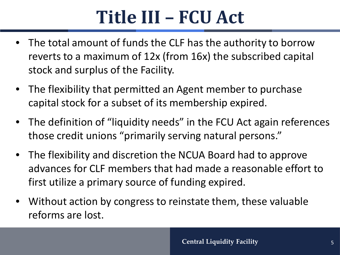## **Title III – FCU Act**

- The total amount of funds the CLF has the authority to borrow reverts to a maximum of 12x (from 16x) the subscribed capital stock and surplus of the Facility.
- The flexibility that permitted an Agent member to purchase capital stock for a subset of its membership expired.
- The definition of "liquidity needs" in the FCU Act again references those credit unions "primarily serving natural persons."
- The flexibility and discretion the NCUA Board had to approve advances for CLF members that had made a reasonable effort to first utilize a primary source of funding expired.
- Without action by congress to reinstate them, these valuable reforms are lost.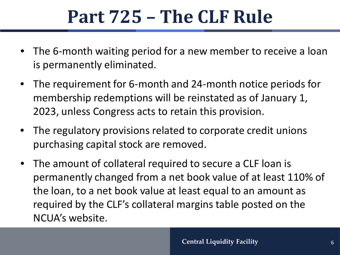## **Part 725 – The CLF Rule**

- The 6-month waiting period for a new member to receive a loan is permanently eliminated.
- The requirement for 6-month and 24-month notice periods for membership redemptions will be reinstated as of January 1, 2023, unless Congress acts to retain this provision.
- The regulatory provisions related to corporate credit unions purchasing capital stock are removed.
- The amount of collateral required to secure a CLF loan is permanently changed from a net book value of at least 110% of the loan, to a net book value at least equal to an amount as required by the CLF's collateral margins table posted on the NCUA's website.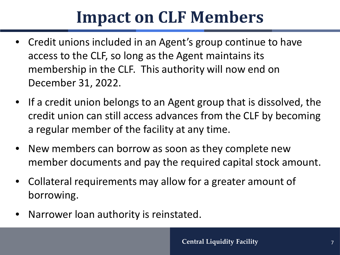## **Impact on CLF Members**

- Credit unions included in an Agent's group continue to have access to the CLF, so long as the Agent maintains its membership in the CLF. This authority will now end on December 31, 2022.
- If a credit union belongs to an Agent group that is dissolved, the credit union can still access advances from the CLF by becoming a regular member of the facility at any time.
- New members can borrow as soon as they complete new member documents and pay the required capital stock amount.
- Collateral requirements may allow for a greater amount of borrowing.
- Narrower loan authority is reinstated.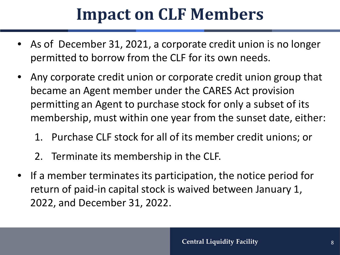## **Impact on CLF Members**

- As of December 31, 2021, a corporate credit union is no longer permitted to borrow from the CLF for its own needs.
- Any corporate credit union or corporate credit union group that became an Agent member under the CARES Act provision permitting an Agent to purchase stock for only a subset of its membership, must within one year from the sunset date, either:
	- 1. Purchase CLF stock for all of its member credit unions; or
	- 2. Terminate its membership in the CLF.
- If a member terminates its participation, the notice period for return of paid-in capital stock is waived between January 1, 2022, and December 31, 2022.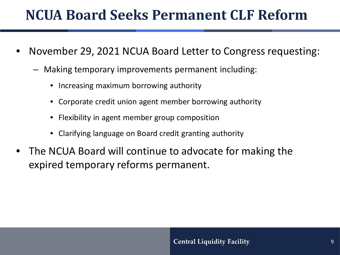### **NCUA Board Seeks Permanent CLF Reform**

- November 29, 2021 NCUA Board Letter to Congress requesting:
	- Making temporary improvements permanent including:
		- Increasing maximum borrowing authority
		- Corporate credit union agent member borrowing authority
		- Flexibility in agent member group composition
		- Clarifying language on Board credit granting authority
- The NCUA Board will continue to advocate for making the expired temporary reforms permanent.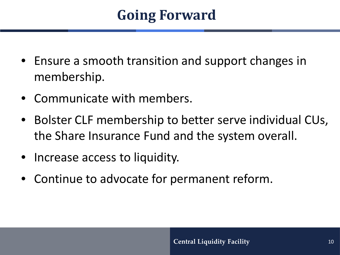### **Going Forward**

- Ensure a smooth transition and support changes in membership.
- Communicate with members.
- Bolster CLF membership to better serve individual CUs, the Share Insurance Fund and the system overall.
- Increase access to liquidity.
- Continue to advocate for permanent reform.